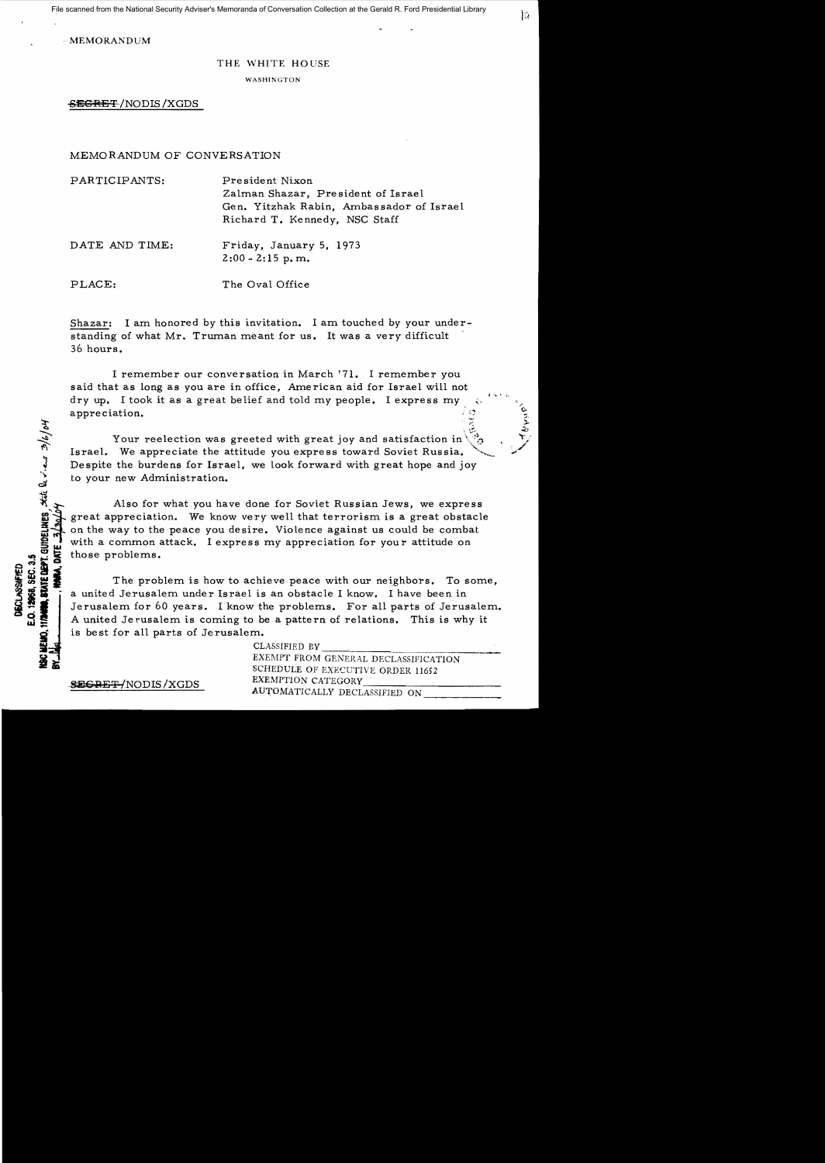File scanned from the National Security Adviser's Memoranda of Conversation Collection at the Gerald R. Ford Presidential Library

· MEMORANDUM

#### THE WHITE HOUSE

WASHINGTON

SEGRET/NODIS/XGDS

MEMORANDUM OF CONVERSATION

PARTICIPANTS: President Nixon Zalman Shazar, President of Israel Gen. Yitzhak Rabin, Ambassador of Israel Richard T. Kennedy, NSC Staff DATE AND TIME: Friday, January 5, 1973  $2:00 - 2:15$  p.m.

PLACE: The Oval Office

Shazar: I am honored by this invitation. I am touched by your understanding of what Mr. Truman meant for us. It was a very difficult 36 hours.

I remember our conversation in March '71. I remember you said that as long as you are in office, American aid for Israel will not dry up. I took it as a great belief and told my people. I express my  $appretation.$ 

Your reelection was greeted with great joy and satisfaction in Israel. We appreciate the attitude you express toward Soviet Russia. For Israel. We appreciate the attitude you express toward Soviet Russia.<br>
Israel, We appreciate the attitude you express toward Soviet Russia.<br>
Despite the burdens for Israel, we look forward with great hope and joy<br>
to yo

 $\mathcal{R}$  Also for what you have done for Soviet Russian Jews, we express<br> $\mathbf{g}$  great appreciation. We know very well that terrorism is a great obstacle<br> $\mathbf{g}$  on the way to the peace you desire. Violence against us c great appreciation. We know very well that terrorism is a great obstacle on the way to the peace you desire. Violence against us could be combat<br>with a common attack. I express my appreciation for your attitude on<br>those problems with a common attack. I express my appreciation for your attitude on those problems.

~ =I The problem is how to achieve peace with our nei.ghbors. To some, a united Jerusalem under Israel is an obstacle I know. I have been in Jerusalem for 60 years. I know the problems. For all parts of Jerusalem. A united Jerusalem is coming to be a pattern of relations. This is why it Example 1 a united Jerusalem is coming to be<br>is best for all parts of Jerusalem. <sup>~</sup>CLASSIFIED BY \_\_\_\_\_\_

------------------- -------- CLASSIFIED BY THE METHOD CLASSIFICATION SCHEDULE OF EXECUTIVE ORDER 11652 **SEGRET/NODIS/XGDS** EXEMPTION CATEGORY AUTOMATICALLY DECLASSIFIED ON

**DECLASSIFIED**<br>E.O. 12968, SEC. 3.5

, c ::;: ",. .:u  $\tilde{\mathbf{r}}$ .../' .;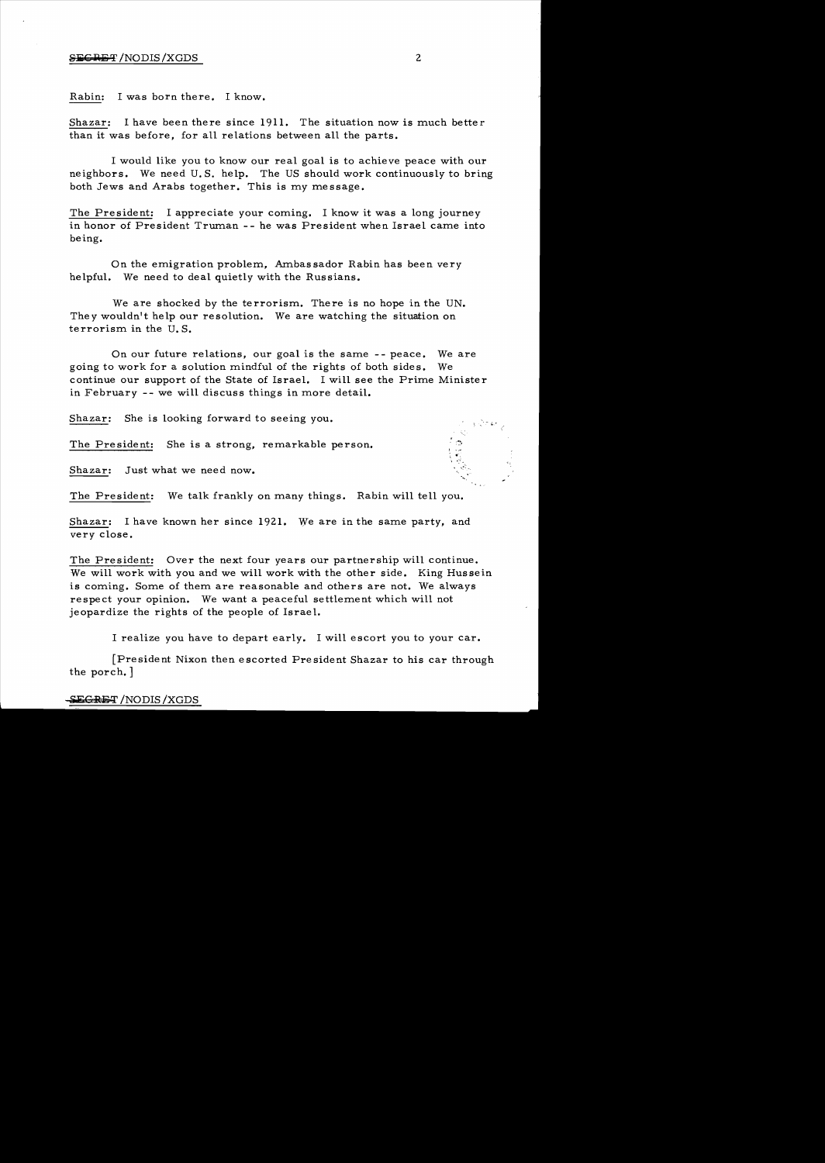# $\overline{\text{SEGRBT}}$  /NODIS/XGDS 2

Rabin: I was born there. I know.

Shazar: I have been there since 1911. The situation now is much better than it was before, for all relations between all the parts.

I would like you to know our real goal is to achieve peace with our neighbors. We need U. S. help. The US should work continuously to bring both Jews and Arabs together. This is my message.

The President: I appreciate your coming. I know it was a long journey in honor of President Truman -- he was President when Israel came into being.

On the emigration problem, Ambas sador Rabin has been very helpful. We need to deal quietly with the Russians.

We are shocked *by* the terrorism. There is no hope in the UN. They wouldn't help our resolution. We are watching the situation on terrorism in the U. S.

On our future relations, our goal is the same -- peace. We are going to work for a solution mindful of the rights of both sides. We continue our support of the State of Israel. I will see the Prime Minister in February -- we will discuss things in more detail.

Shazar: She is looking forward to seeing you.<br>The President: She is a strong, remarkable person.<br>She same. Instantative read now. The President: She is a strong, remarkable person.

Shazar: Just what we need now.

The President: We talk frankly on many things. Rabin will tell you.

Shazar: I have known her since 1921. We are in the same party, and very close.

The President: Over the next four years our partnership will continue. We will work with you and we will work with the other side. King Hussein is coming. Some of them are reasonable and others are not. We always respect your opinion. We want a peaceful settlement which will not jeopardize the rights of the people of Israel.

I realize you have to depart early. I will escort you to your car.

[President Nixon then escorted President Shazar to his car through the porch. ]

#### **SEGRET / NODIS / XGDS**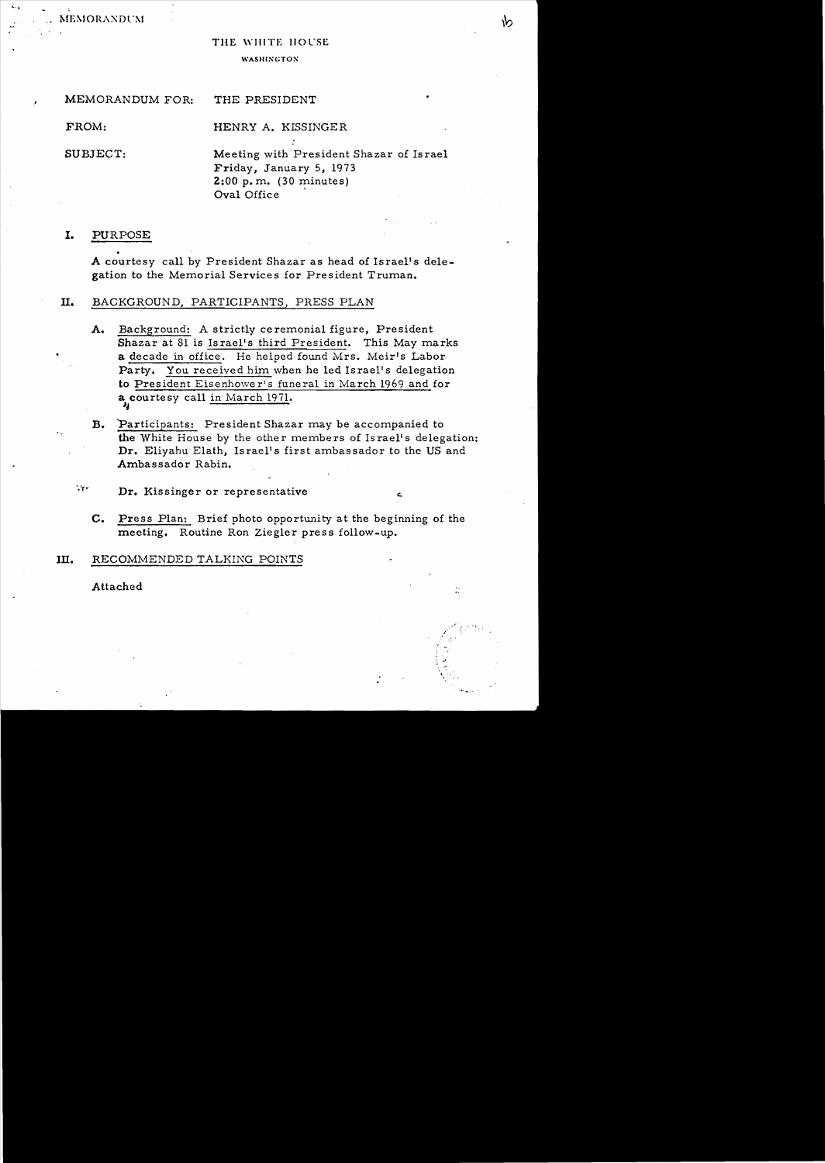MEMORANDUM

## THE WHITE HOUSE

#### **WASHINGTON**

# MEMORANDUM FOR: THE PRESIDENT

l

FROM: HENRY A. KISSINGER

SUBJECT: Meeting with President Shazar of Israel Friday, January 5, 1973 2:00 p. m. (30 minutes) Oval Office

# I. PURPOSE

A courtesy call by President Shazar as head of Israel's delegation to the Memorial Services for President Truman.

# II. BACKGROUND, PARTICIPANTS, PRESS PLAN

- A. Background: A strictly ceremonial figure, President Shazar at 81 is Israel's third President. This May marks a decade in office. He helped found Mrs. Meir's Labor Party. You received him when he led Israel's delegation to President Eisenhower's funeral in March 1969 and for a courtesy call in March 1971.
- B. Participants: President Shazar may be accompanied to the White House by the other members of Israel's delegation: Dr. Eliyahu Elath, Israel's first ambassador to the US and Ambassador Rabin.
- $\mathbf{r}$ . **Dr.** Kissinger or representative  $\mathbf{r}$ 
	- c. Press Plan: Brief photo opportunity at the beginning of the meeting. Routine Ron Ziegler press follow-up.

, .-~ ""!

١b

! "

# III. RECOMMENDED TALKING POINTS

Attached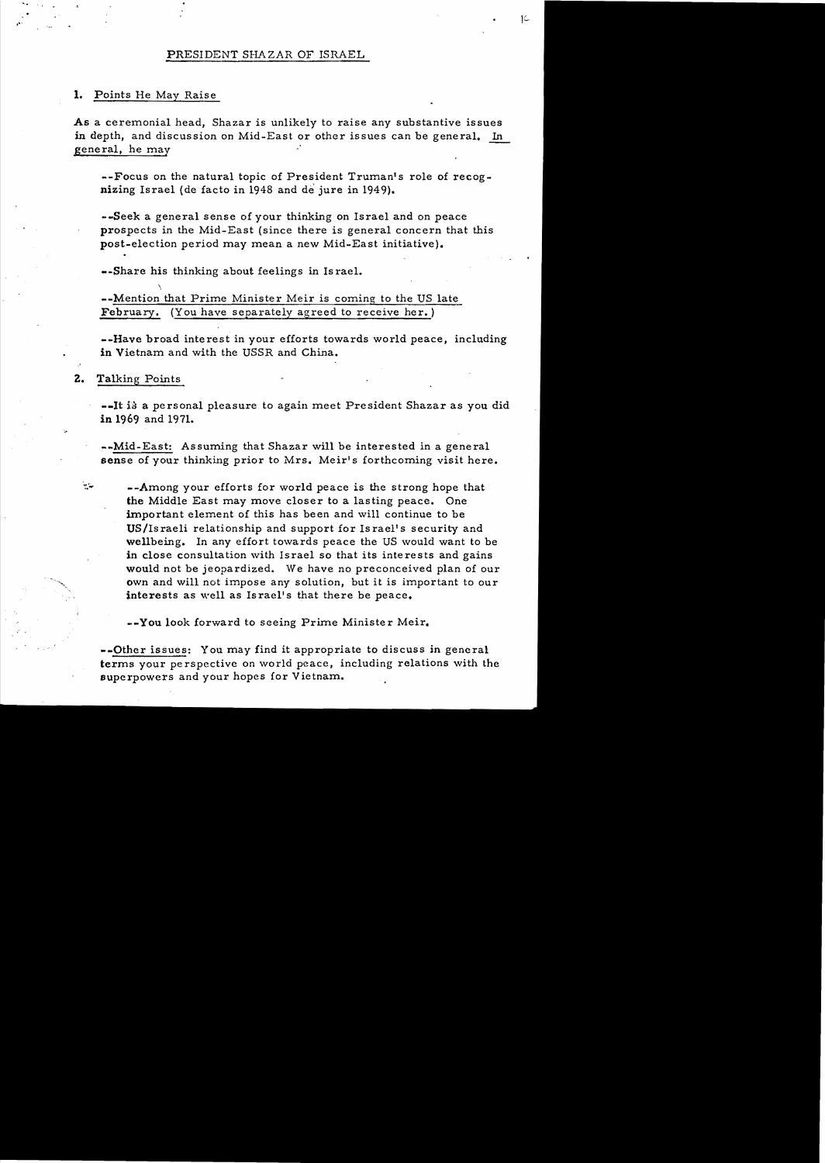## PRESIDENT SHAZAR OF ISRAEL

1) في المساوي المساوي المساوي المساوي المساوي المساوي المساوي المساوي المساوي المساوي المساوي المساوي المساوي<br>المساوي المساوي المساوي المساوي المساوي المساوي المساوي المساوي المساوي المساوي المساوي المساوي المساوي المساو

## 1. Points He May Raise

As a ceremonial head, Shazar is unlikely to raise any substantive issues in depth, and discussion on Mid-East or other issues can be general. In general, he may

--Focus on the natural topic of President Truman's role of recognizing Israel (de facto in 1948 and de jure in 1949).

....Seek a general sense of your thinking on Israel and on peace prospects in the Mid-East (since there is general concern that this post-election period may mean a new Mid-East initiative).

--Share his thinking about feelings in Israel.

- ..Mention that Prime Minister Meir is coming to the US late February. (You have separately agreed to receive her.)

- ..Have broad interest in your efforts towards world peace, including in Vietnam and with the USSR and China.

# Z. Talking Points

\

--It i3 a personal pleasure to again meet President Shazar as you did in 1969 and 1971.

--Mid-East: Assuming that Shazar will be interested in a general sense of your thinking prior to Mrs. Meir's forthcoming visit here.

 $\sim$  --Among your efforts for world peace is the strong hope that the Middle East may move closer to a lasting peace. One important element of this has been and will continue to be US/Is raeli relationship and support for Is rael's security and wellbeing. In any effort towards peace the US would want to be in close consultation with Israel so that its interests and gains would not be jeopardized. We have no preconceived plan of our own and will not impose any solution, but it is important to our interests as well as Israel's that there be peace.

--You look forward to seeing Prime Minister Meir.

--Other issues: You may find it appropriate to discuss in general terms your perspective on world peace, including relations with the superpowers and your hopes for Vietnam.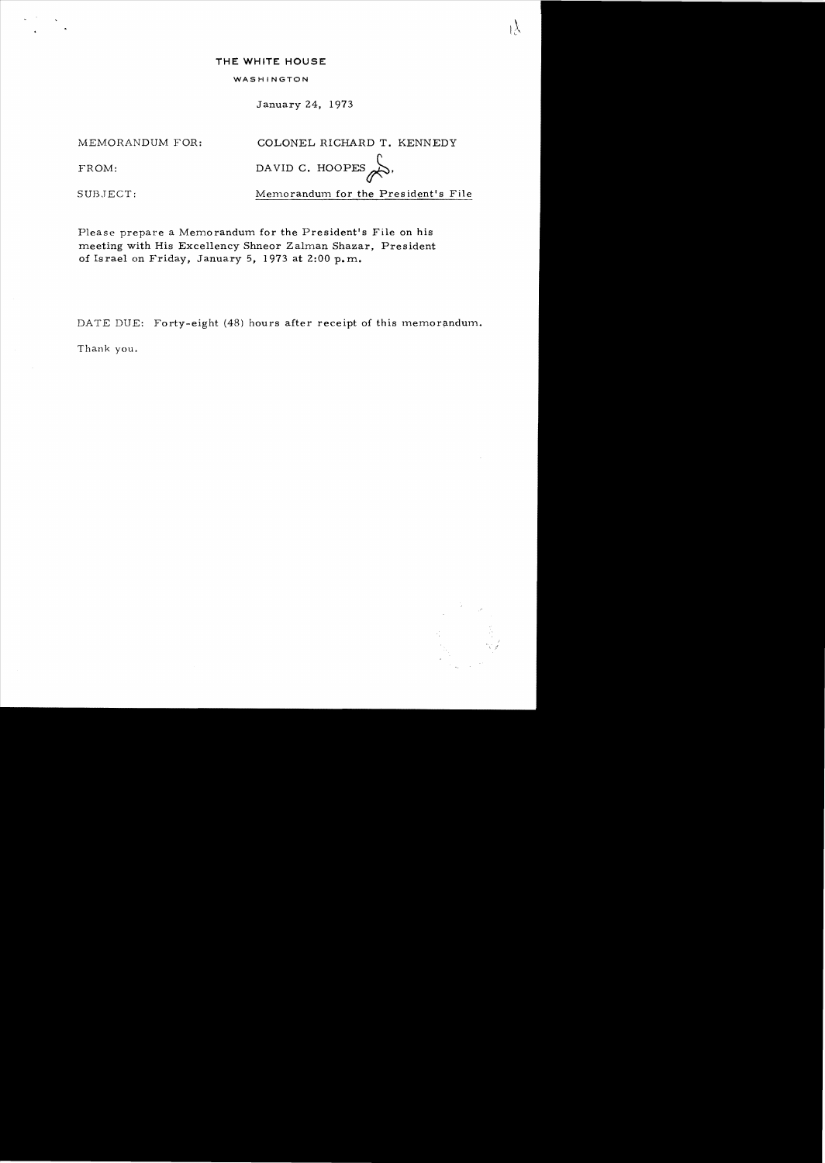## **THE WHITE HOUSE**

## WASHINGTON

January 24, 1973

MEMORANDUM FOR: COLONEL RICHARD T. KENNEDY

FROM: DAVID C. HOOPES

SUBJECT: Memorandum for the President's File

Please prepare a Memorandum for the President's File on his meeting with His Excellency Shneor Za1man Shazar, President of Is rael on Friday, January 5, 1973 at 2:00 **p. m.** 

DATE DUE: Forty-eight (48) hours after receipt of this memorandum.

Thank you.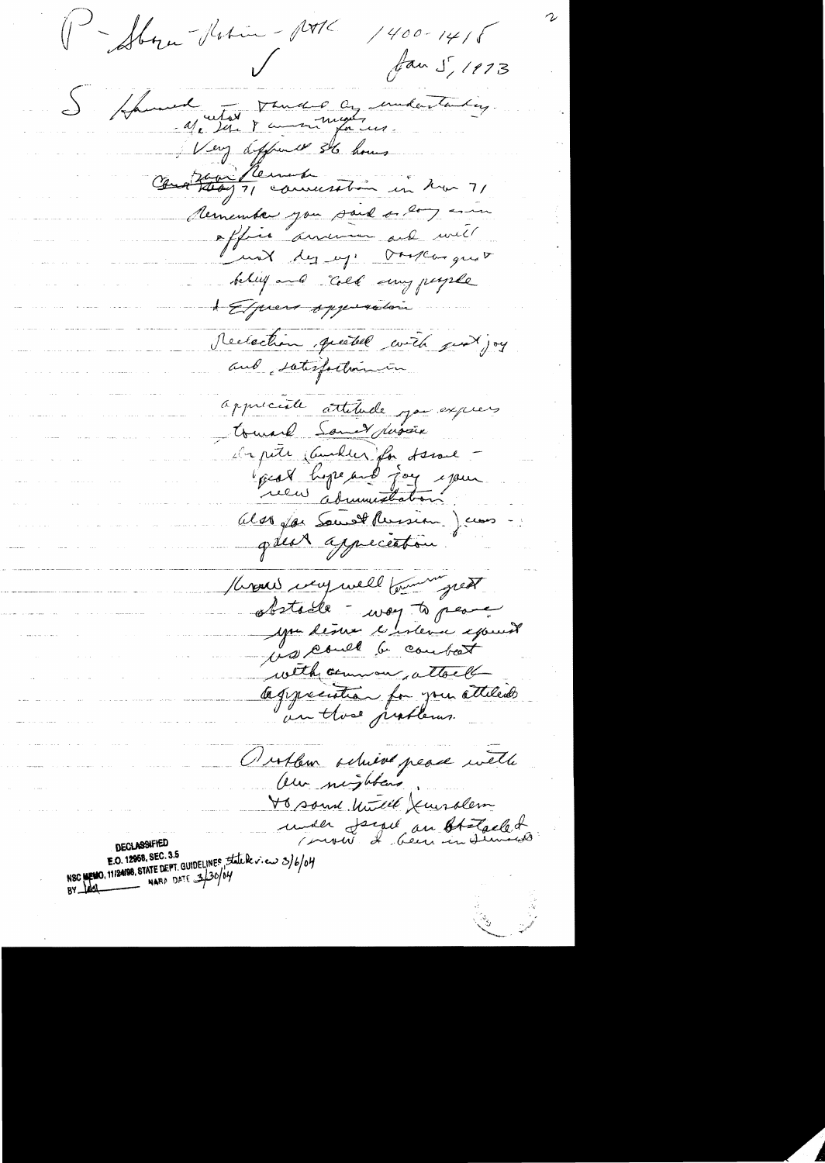( - Sbyn Ketin - 1891  $1400 - 1418$ fan 5, 1973 S found ates pendad en endantalier Very different Sto hours affaire Mement Aernemba jou said en 2007 en affine annumen and well aust des up. Orseaugust belux and cold any payrele I Espreve opposabon Reclaration quetell with just joy and satisforthemen apprécible àttitude par express Amark Samet dussie en pete conclur for seront Also fai Soust Russian) cas gdeat appecention. Knows were well town great Astade - weg to peane with common, attack agyrecistic for you attiled Obutan schied peace with Our nightens Vo sound Until Juralem under Joseph an Chatacle & **DECLASSIFIED** NSC MEMO, 11/24198, STATE DEPT. GUIDELINES State Rev. en 3/6/04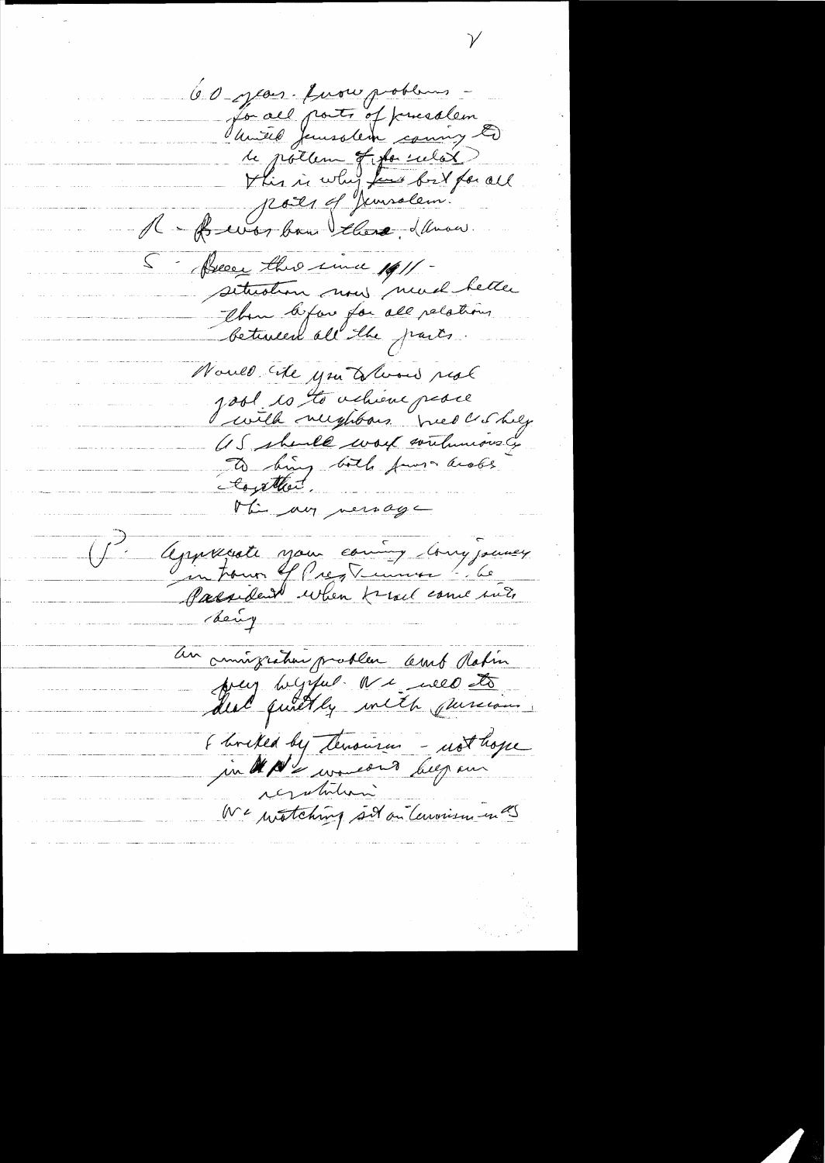60 years fuoro problems La all parts of presalem le pôteur fife silat  $\mathcal{L}$ Dear the sure 1911 situation now need better Chen Cefore for all palations Nould the you whow real jobl les touchiens pesses US should work withmows C De bing both four acobs Mi an nersage Appreciate your coming conggancy an cumization problem amb Ration pay begypte ne nees to Ebretted by tensurer - not hope Ne notching sit on Convision en 25